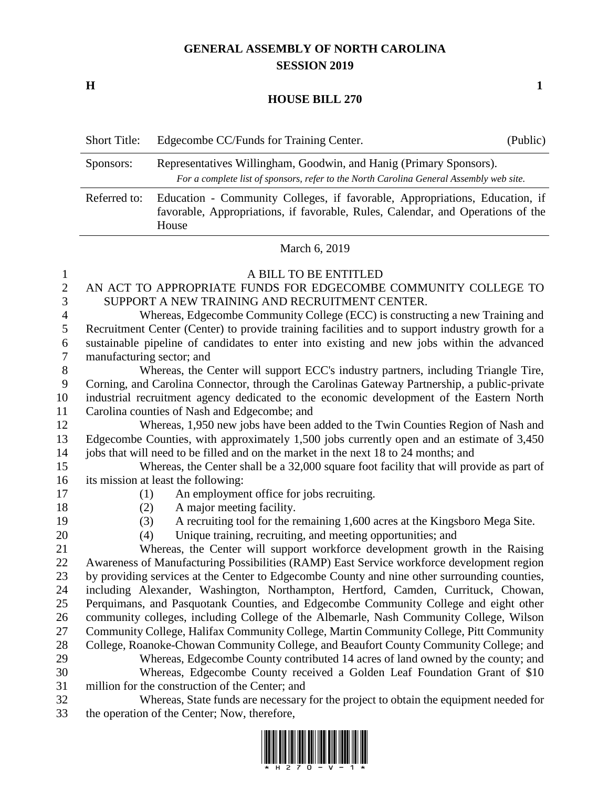## **GENERAL ASSEMBLY OF NORTH CAROLINA SESSION 2019**

**H 1**

## **HOUSE BILL 270**

|                  | <b>Short Title:</b>                                                                                                                                                                     | Edgecombe CC/Funds for Training Center.                                                                                                    | (Public) |
|------------------|-----------------------------------------------------------------------------------------------------------------------------------------------------------------------------------------|--------------------------------------------------------------------------------------------------------------------------------------------|----------|
|                  | Representatives Willingham, Goodwin, and Hanig (Primary Sponsors).<br>Sponsors:<br>For a complete list of sponsors, refer to the North Carolina General Assembly web site.              |                                                                                                                                            |          |
|                  | Referred to:<br>Education - Community Colleges, if favorable, Appropriations, Education, if<br>favorable, Appropriations, if favorable, Rules, Calendar, and Operations of the<br>House |                                                                                                                                            |          |
|                  | March 6, 2019                                                                                                                                                                           |                                                                                                                                            |          |
| $\mathbf{1}$     | A BILL TO BE ENTITLED                                                                                                                                                                   |                                                                                                                                            |          |
| $\overline{2}$   | AN ACT TO APPROPRIATE FUNDS FOR EDGECOMBE COMMUNITY COLLEGE TO                                                                                                                          |                                                                                                                                            |          |
| 3                | SUPPORT A NEW TRAINING AND RECRUITMENT CENTER.                                                                                                                                          |                                                                                                                                            |          |
| $\overline{4}$   | Whereas, Edgecombe Community College (ECC) is constructing a new Training and                                                                                                           |                                                                                                                                            |          |
| 5                | Recruitment Center (Center) to provide training facilities and to support industry growth for a                                                                                         |                                                                                                                                            |          |
| 6                | sustainable pipeline of candidates to enter into existing and new jobs within the advanced                                                                                              |                                                                                                                                            |          |
| $\tau$           | manufacturing sector; and                                                                                                                                                               |                                                                                                                                            |          |
| $8\,$            | Whereas, the Center will support ECC's industry partners, including Triangle Tire,                                                                                                      |                                                                                                                                            |          |
| $\boldsymbol{9}$ | Corning, and Carolina Connector, through the Carolinas Gateway Partnership, a public-private                                                                                            |                                                                                                                                            |          |
| 10               | industrial recruitment agency dedicated to the economic development of the Eastern North                                                                                                |                                                                                                                                            |          |
| 11               | Carolina counties of Nash and Edgecombe; and                                                                                                                                            |                                                                                                                                            |          |
| 12               | Whereas, 1,950 new jobs have been added to the Twin Counties Region of Nash and                                                                                                         |                                                                                                                                            |          |
| 13               | Edgecombe Counties, with approximately 1,500 jobs currently open and an estimate of 3,450                                                                                               |                                                                                                                                            |          |
| 14               | jobs that will need to be filled and on the market in the next 18 to 24 months; and                                                                                                     |                                                                                                                                            |          |
| 15               | Whereas, the Center shall be a 32,000 square foot facility that will provide as part of                                                                                                 |                                                                                                                                            |          |
| 16               |                                                                                                                                                                                         | its mission at least the following:                                                                                                        |          |
| 17               | (1)                                                                                                                                                                                     | An employment office for jobs recruiting.                                                                                                  |          |
| 18               | (2)                                                                                                                                                                                     | A major meeting facility.                                                                                                                  |          |
| 19<br>20         | (3)<br>(4)                                                                                                                                                                              | A recruiting tool for the remaining 1,600 acres at the Kingsboro Mega Site.<br>Unique training, recruiting, and meeting opportunities; and |          |
| 21               |                                                                                                                                                                                         | Whereas, the Center will support workforce development growth in the Raising                                                               |          |
| 22               | Awareness of Manufacturing Possibilities (RAMP) East Service workforce development region                                                                                               |                                                                                                                                            |          |
| 23               | by providing services at the Center to Edgecombe County and nine other surrounding counties,                                                                                            |                                                                                                                                            |          |
| 24               | including Alexander, Washington, Northampton, Hertford, Camden, Currituck, Chowan,                                                                                                      |                                                                                                                                            |          |
| 25               | Perquimans, and Pasquotank Counties, and Edgecombe Community College and eight other                                                                                                    |                                                                                                                                            |          |
| 26               | community colleges, including College of the Albemarle, Nash Community College, Wilson                                                                                                  |                                                                                                                                            |          |
| 27               | Community College, Halifax Community College, Martin Community College, Pitt Community                                                                                                  |                                                                                                                                            |          |
| 28               | College, Roanoke-Chowan Community College, and Beaufort County Community College; and                                                                                                   |                                                                                                                                            |          |

- Whereas, Edgecombe County contributed 14 acres of land owned by the county; and Whereas, Edgecombe County received a Golden Leaf Foundation Grant of \$10 million for the construction of the Center; and
- Whereas, State funds are necessary for the project to obtain the equipment needed for the operation of the Center; Now, therefore,